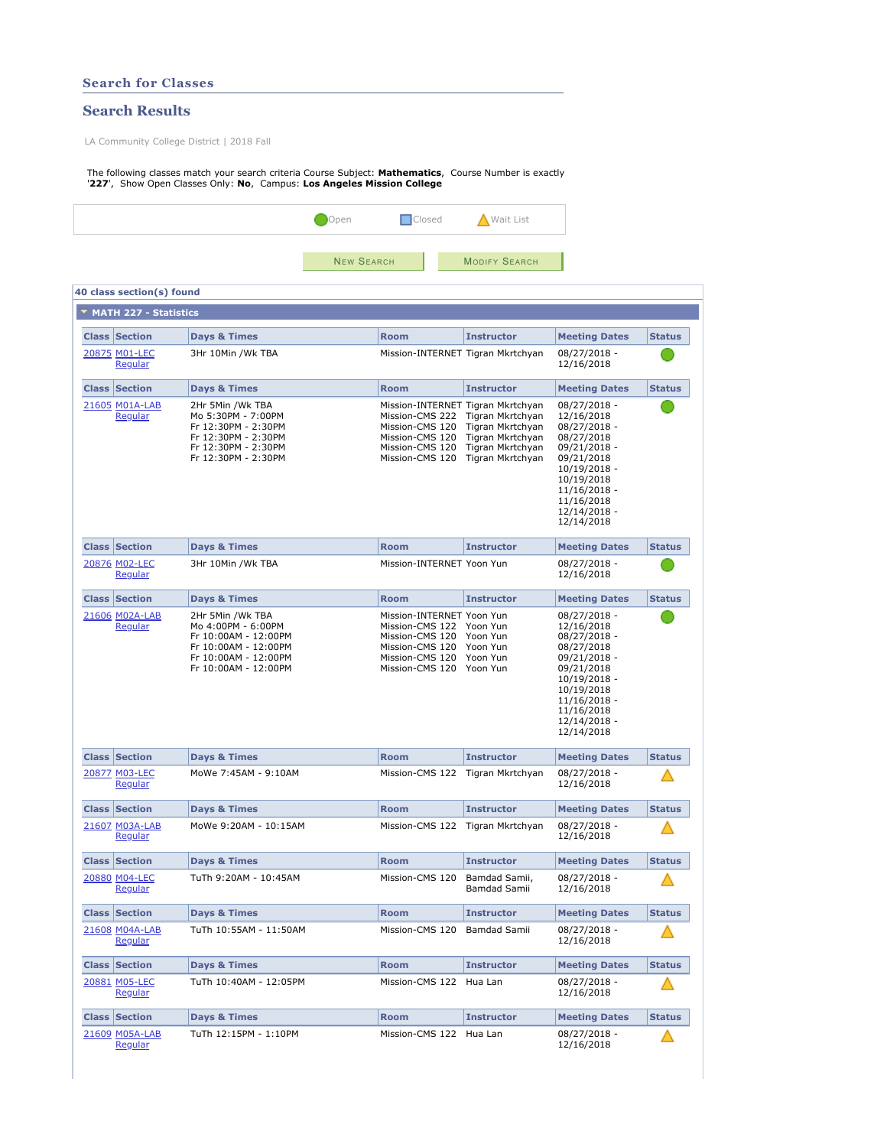|                                                                                                                                                                                  | <b>Search for Classes</b> |                                                                                                                                        |                   |                                                                                                                                   |                                                                                                                                                       |                                                                                                                                                                                    |               |  |
|----------------------------------------------------------------------------------------------------------------------------------------------------------------------------------|---------------------------|----------------------------------------------------------------------------------------------------------------------------------------|-------------------|-----------------------------------------------------------------------------------------------------------------------------------|-------------------------------------------------------------------------------------------------------------------------------------------------------|------------------------------------------------------------------------------------------------------------------------------------------------------------------------------------|---------------|--|
|                                                                                                                                                                                  | <b>Search Results</b>     |                                                                                                                                        |                   |                                                                                                                                   |                                                                                                                                                       |                                                                                                                                                                                    |               |  |
| LA Community College District   2018 Fall                                                                                                                                        |                           |                                                                                                                                        |                   |                                                                                                                                   |                                                                                                                                                       |                                                                                                                                                                                    |               |  |
| The following classes match your search criteria Course Subject: Mathematics, Course Number is exactly<br>'227', Show Open Classes Only: No, Campus: Los Angeles Mission College |                           |                                                                                                                                        |                   |                                                                                                                                   |                                                                                                                                                       |                                                                                                                                                                                    |               |  |
|                                                                                                                                                                                  |                           |                                                                                                                                        | Open              | <b>Closed</b>                                                                                                                     | Wait List                                                                                                                                             |                                                                                                                                                                                    |               |  |
|                                                                                                                                                                                  |                           |                                                                                                                                        | <b>NEW SEARCH</b> |                                                                                                                                   | <b>MODIFY SEARCH</b>                                                                                                                                  |                                                                                                                                                                                    |               |  |
|                                                                                                                                                                                  | 40 class section(s) found |                                                                                                                                        |                   |                                                                                                                                   |                                                                                                                                                       |                                                                                                                                                                                    |               |  |
|                                                                                                                                                                                  | ▼ MATH 227 - Statistics   |                                                                                                                                        |                   |                                                                                                                                   |                                                                                                                                                       |                                                                                                                                                                                    |               |  |
|                                                                                                                                                                                  | <b>Class Section</b>      | Days & Times                                                                                                                           |                   | <b>Room</b>                                                                                                                       | <b>Instructor</b>                                                                                                                                     | <b>Meeting Dates</b>                                                                                                                                                               | <b>Status</b> |  |
|                                                                                                                                                                                  | 20875 M01-LEC<br>Regular  | 3Hr 10Min /Wk TBA                                                                                                                      |                   |                                                                                                                                   | Mission-INTERNET Tigran Mkrtchyan                                                                                                                     | 08/27/2018 -<br>12/16/2018                                                                                                                                                         |               |  |
|                                                                                                                                                                                  | <b>Class Section</b>      | <b>Days &amp; Times</b>                                                                                                                |                   | <b>Room</b>                                                                                                                       | <b>Instructor</b>                                                                                                                                     | <b>Meeting Dates</b>                                                                                                                                                               | <b>Status</b> |  |
|                                                                                                                                                                                  | 21605 M01A-LAB<br>Regular | 2Hr 5Min /Wk TBA<br>Mo 5:30PM - 7:00PM<br>Fr 12:30PM - 2:30PM<br>Fr 12:30PM - 2:30PM<br>Fr 12:30PM - 2:30PM<br>Fr 12:30PM - 2:30PM     |                   | Mission-CMS 120<br>Mission-CMS 120<br>Mission-CMS 120<br>Mission-CMS 120                                                          | Mission-INTERNET Tigran Mkrtchyan<br>Mission-CMS 222 Tigran Mkrtchyan<br>Tigran Mkrtchyan<br>Tigran Mkrtchyan<br>Tigran Mkrtchyan<br>Tigran Mkrtchyan | 08/27/2018 -<br>12/16/2018<br>08/27/2018 -<br>08/27/2018<br>09/21/2018 -<br>09/21/2018<br>10/19/2018 -<br>10/19/2018<br>$11/16/2018 -$<br>11/16/2018<br>12/14/2018 -<br>12/14/2018 |               |  |
|                                                                                                                                                                                  | <b>Class Section</b>      | Days & Times                                                                                                                           |                   | <b>Room</b>                                                                                                                       | <b>Instructor</b>                                                                                                                                     | <b>Meeting Dates</b>                                                                                                                                                               | <b>Status</b> |  |
|                                                                                                                                                                                  | 20876 M02-LEC<br>Regular  | 3Hr 10Min /Wk TBA                                                                                                                      |                   | Mission-INTERNET Yoon Yun                                                                                                         |                                                                                                                                                       | 08/27/2018 -<br>12/16/2018                                                                                                                                                         |               |  |
|                                                                                                                                                                                  | <b>Class Section</b>      | Days & Times                                                                                                                           |                   | <b>Room</b>                                                                                                                       | <b>Instructor</b>                                                                                                                                     | <b>Meeting Dates</b>                                                                                                                                                               | <b>Status</b> |  |
|                                                                                                                                                                                  | 21606 M02A-LAB<br>Regular | 2Hr 5Min /Wk TBA<br>Mo 4:00PM - 6:00PM<br>Fr 10:00AM - 12:00PM<br>Fr 10:00AM - 12:00PM<br>Fr 10:00AM - 12:00PM<br>Fr 10:00AM - 12:00PM |                   | Mission-INTERNET Yoon Yun<br>Mission-CMS 122 Yoon Yun<br>Mission-CMS 120<br>Mission-CMS 120<br>Mission-CMS 120<br>Mission-CMS 120 | Yoon Yun<br>Yoon Yun<br>Yoon Yun<br>Yoon Yun                                                                                                          | 08/27/2018 -<br>12/16/2018<br>08/27/2018 -<br>08/27/2018<br>09/21/2018 -<br>09/21/2018<br>10/19/2018 -<br>10/19/2018<br>11/16/2018 -<br>11/16/2018<br>12/14/2018 -<br>12/14/2018   |               |  |
|                                                                                                                                                                                  | <b>Class Section</b>      | Days & Times                                                                                                                           |                   | <b>Room</b>                                                                                                                       | <b>Instructor</b>                                                                                                                                     | <b>Meeting Dates</b>                                                                                                                                                               | <b>Status</b> |  |
|                                                                                                                                                                                  | 20877 M03-LEC<br>Regular  | MoWe 7:45AM - 9:10AM                                                                                                                   |                   |                                                                                                                                   | Mission-CMS 122 Tigran Mkrtchyan                                                                                                                      | 08/27/2018 -<br>12/16/2018                                                                                                                                                         |               |  |
|                                                                                                                                                                                  | <b>Class Section</b>      | <b>Days &amp; Times</b>                                                                                                                |                   | <b>Room</b>                                                                                                                       | <b>Instructor</b>                                                                                                                                     | <b>Meeting Dates</b>                                                                                                                                                               | <b>Status</b> |  |
|                                                                                                                                                                                  | 21607 M03A-LAB<br>Regular | MoWe 9:20AM - 10:15AM                                                                                                                  |                   |                                                                                                                                   | Mission-CMS 122 Tigran Mkrtchyan                                                                                                                      | 08/27/2018 -<br>12/16/2018                                                                                                                                                         |               |  |
|                                                                                                                                                                                  | <b>Class Section</b>      | Days & Times                                                                                                                           |                   | <b>Room</b>                                                                                                                       | <b>Instructor</b>                                                                                                                                     | <b>Meeting Dates</b>                                                                                                                                                               | <b>Status</b> |  |
|                                                                                                                                                                                  | 20880 M04-LEC<br>Regular  | TuTh 9:20AM - 10:45AM                                                                                                                  |                   | Mission-CMS 120                                                                                                                   | Bamdad Samii,<br>Bamdad Samii                                                                                                                         | 08/27/2018 -<br>12/16/2018                                                                                                                                                         |               |  |
|                                                                                                                                                                                  | <b>Class Section</b>      | Days & Times                                                                                                                           |                   | <b>Room</b>                                                                                                                       | <b>Instructor</b>                                                                                                                                     | <b>Meeting Dates</b>                                                                                                                                                               | <b>Status</b> |  |
|                                                                                                                                                                                  | 21608 M04A-LAB<br>Regular | TuTh 10:55AM - 11:50AM                                                                                                                 |                   | Mission-CMS 120                                                                                                                   | Bamdad Samii                                                                                                                                          | 08/27/2018 -<br>12/16/2018                                                                                                                                                         |               |  |
|                                                                                                                                                                                  | <b>Class Section</b>      | Days & Times                                                                                                                           |                   | <b>Room</b>                                                                                                                       | <b>Instructor</b>                                                                                                                                     | <b>Meeting Dates</b>                                                                                                                                                               | <b>Status</b> |  |
|                                                                                                                                                                                  | 20881 M05-LEC<br>Regular  | TuTh 10:40AM - 12:05PM                                                                                                                 |                   | Mission-CMS 122                                                                                                                   | Hua Lan                                                                                                                                               | 08/27/2018 -<br>12/16/2018                                                                                                                                                         |               |  |
|                                                                                                                                                                                  | <b>Class Section</b>      | Days & Times                                                                                                                           |                   | <b>Room</b>                                                                                                                       | <b>Instructor</b>                                                                                                                                     | <b>Meeting Dates</b>                                                                                                                                                               | <b>Status</b> |  |
|                                                                                                                                                                                  | 21609 M05A-LAB<br>Regular | TuTh 12:15PM - 1:10PM                                                                                                                  |                   | Mission-CMS 122 Hua Lan                                                                                                           |                                                                                                                                                       | 08/27/2018 -<br>12/16/2018                                                                                                                                                         |               |  |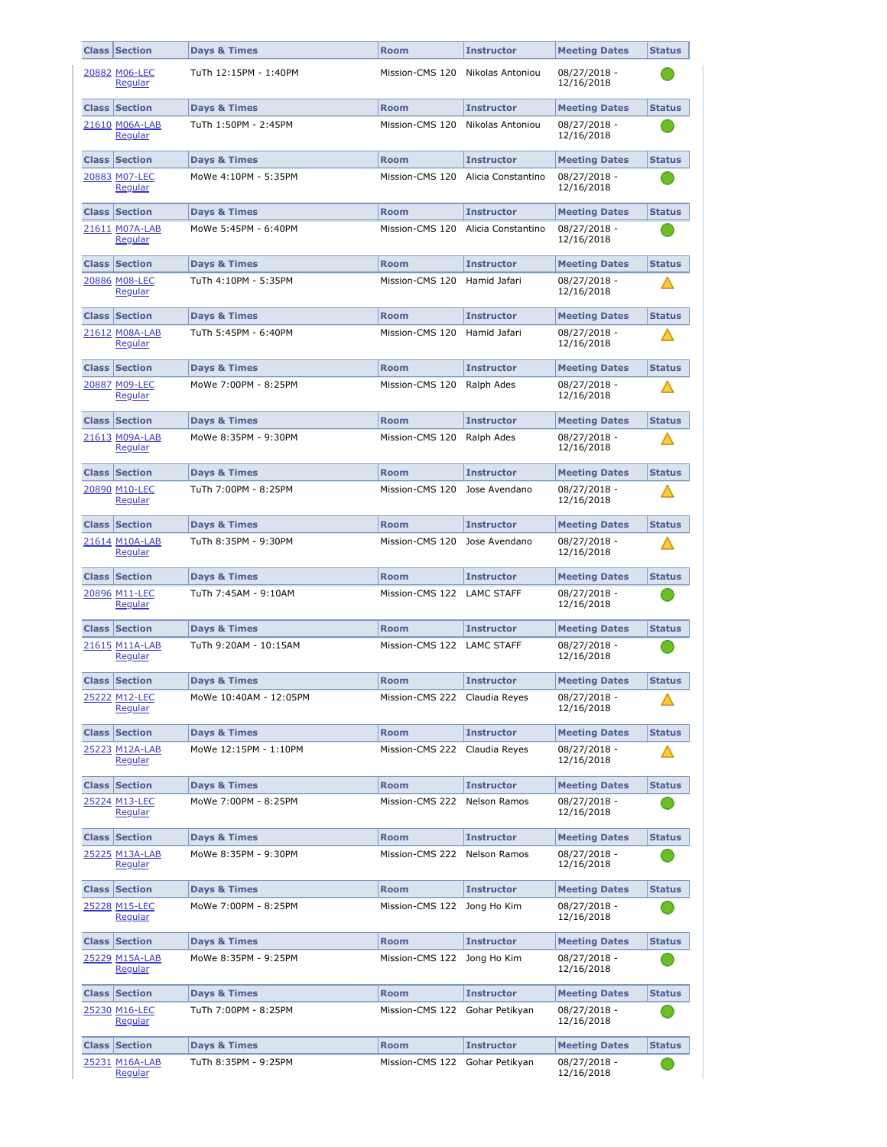| <b>Class</b> | Section                          | Days & Times            | Room                          | <b>Instructor</b>  | <b>Meeting Dates</b>       | <b>Status</b> |
|--------------|----------------------------------|-------------------------|-------------------------------|--------------------|----------------------------|---------------|
|              | 20882 M06-LEC<br>Regular         | TuTh 12:15PM - 1:40PM   | Mission-CMS 120               | Nikolas Antoniou   | 08/27/2018 -<br>12/16/2018 |               |
| <b>Class</b> | Section                          | <b>Days &amp; Times</b> | Room                          | <b>Instructor</b>  | <b>Meeting Dates</b>       | <b>Status</b> |
|              | 21610 M06A-LAB<br>Regular        | TuTh 1:50PM - 2:45PM    | Mission-CMS 120               | Nikolas Antoniou   | 08/27/2018 -<br>12/16/2018 |               |
|              | <b>Class Section</b>             | Days & Times            | Room                          | <b>Instructor</b>  | <b>Meeting Dates</b>       | <b>Status</b> |
|              | 20883 M07-LEC<br>Regular         | MoWe 4:10PM - 5:35PM    | Mission-CMS 120               | Alicia Constantino | 08/27/2018 -<br>12/16/2018 |               |
|              | <b>Class Section</b>             | Days & Times            | Room                          | <b>Instructor</b>  | <b>Meeting Dates</b>       | <b>Status</b> |
|              | 21611 M07A-LAB<br>Regular        | MoWe 5:45PM - 6:40PM    | Mission-CMS 120               | Alicia Constantino | 08/27/2018 -<br>12/16/2018 |               |
|              | <b>Class Section</b>             | <b>Days &amp; Times</b> | Room                          | <b>Instructor</b>  | <b>Meeting Dates</b>       | <b>Status</b> |
|              | 20886 M08-LEC<br>Regular         | TuTh 4:10PM - 5:35PM    | Mission-CMS 120               | Hamid Jafari       | 08/27/2018 -<br>12/16/2018 |               |
|              | <b>Class Section</b>             | Days & Times            | Room                          | <b>Instructor</b>  | <b>Meeting Dates</b>       | <b>Status</b> |
|              | 21612 M08A-LAB<br>Regular        | TuTh 5:45PM - 6:40PM    | Mission-CMS 120               | Hamid Jafari       | 08/27/2018 -<br>12/16/2018 |               |
|              | <b>Class Section</b>             | <b>Days &amp; Times</b> | Room                          | <b>Instructor</b>  | <b>Meeting Dates</b>       | <b>Status</b> |
|              | 20887 M09-LEC<br>Regular         | MoWe 7:00PM - 8:25PM    | Mission-CMS 120               | Ralph Ades         | 08/27/2018 -<br>12/16/2018 |               |
|              | <b>Class Section</b>             | Days & Times            | Room                          | <b>Instructor</b>  | <b>Meeting Dates</b>       | <b>Status</b> |
|              | 21613 M09A-LAB<br>Regular        | MoWe 8:35PM - 9:30PM    | Mission-CMS 120               | Ralph Ades         | 08/27/2018 -<br>12/16/2018 |               |
|              | <b>Class Section</b>             | Days & Times            | <b>Room</b>                   | <b>Instructor</b>  | <b>Meeting Dates</b>       | <b>Status</b> |
|              | 20890 M10-LEC<br>Regular         | TuTh 7:00PM - 8:25PM    | Mission-CMS 120               | Jose Avendano      | 08/27/2018 -<br>12/16/2018 |               |
|              | <b>Class Section</b>             | <b>Days &amp; Times</b> | <b>Room</b>                   | <b>Instructor</b>  | <b>Meeting Dates</b>       | <b>Status</b> |
|              | 21614 M10A-LAB<br><b>Regular</b> | TuTh 8:35PM - 9:30PM    | Mission-CMS 120               | Jose Avendano      | 08/27/2018 -<br>12/16/2018 |               |
|              | <b>Class Section</b>             | Days & Times            | <b>Room</b>                   | <b>Instructor</b>  | <b>Meeting Dates</b>       | <b>Status</b> |
|              | 20896 M11-LEC<br><b>Regular</b>  | TuTh 7:45AM - 9:10AM    | Mission-CMS 122 LAMC STAFF    |                    | 08/27/2018 -<br>12/16/2018 |               |
|              | <b>Class Section</b>             | <b>Days &amp; Times</b> | <b>Room</b>                   | <b>Instructor</b>  | <b>Meeting Dates</b>       | <b>Status</b> |
|              | 21615 M11A-LAB<br><b>Regular</b> | TuTh 9:20AM - 10:15AM   | Mission-CMS 122 LAMC STAFF    |                    | 08/27/2018 -<br>12/16/2018 |               |
|              | <b>Class Section</b>             | Days & Times            | <b>Room</b>                   | <b>Instructor</b>  | <b>Meeting Dates</b>       | <b>Status</b> |
|              | 25222 M12-LEC<br><u>Regular</u>  | MoWe 10:40AM - 12:05PM  | Mission-CMS 222 Claudia Reyes |                    | 08/27/2018 -<br>12/16/2018 |               |
|              | <b>Class Section</b>             | <b>Days &amp; Times</b> | <b>Room</b>                   | <b>Instructor</b>  | <b>Meeting Dates</b>       | <b>Status</b> |
|              | 25223 M12A-LAB<br><u>Regular</u> | MoWe 12:15PM - 1:10PM   | Mission-CMS 222               | Claudia Reyes      | 08/27/2018 -<br>12/16/2018 |               |
|              | <b>Class Section</b>             | <b>Days &amp; Times</b> | <b>Room</b>                   | <b>Instructor</b>  | <b>Meeting Dates</b>       | <b>Status</b> |
|              | 25224 M13-LEC<br>Regular         | MoWe 7:00PM - 8:25PM    | Mission-CMS 222               | Nelson Ramos       | 08/27/2018 -<br>12/16/2018 |               |
|              | <b>Class Section</b>             | <b>Days &amp; Times</b> | <b>Room</b>                   | <b>Instructor</b>  | <b>Meeting Dates</b>       | <b>Status</b> |
|              | 25225 M13A-LAB<br>Regular        | MoWe 8:35PM - 9:30PM    | Mission-CMS 222               | Nelson Ramos       | 08/27/2018 -<br>12/16/2018 |               |
|              | <b>Class Section</b>             | <b>Days &amp; Times</b> | <b>Room</b>                   | <b>Instructor</b>  | <b>Meeting Dates</b>       | <b>Status</b> |
|              | 25228 M15-LEC<br>Regular         | MoWe 7:00PM - 8:25PM    | Mission-CMS 122               | Jong Ho Kim        | 08/27/2018 -<br>12/16/2018 |               |
|              | <b>Class Section</b>             | Days & Times            | <b>Room</b>                   | <b>Instructor</b>  | <b>Meeting Dates</b>       | <b>Status</b> |
|              | 25229 M15A-LAB<br>Regular        | MoWe 8:35PM - 9:25PM    | Mission-CMS 122               | Jong Ho Kim        | 08/27/2018 -<br>12/16/2018 |               |
|              | <b>Class Section</b>             | Days & Times            | <b>Room</b>                   | <b>Instructor</b>  | <b>Meeting Dates</b>       | <b>Status</b> |
|              | 25230 M16-LEC<br>Regular         | TuTh 7:00PM - 8:25PM    | Mission-CMS 122               | Gohar Petikyan     | 08/27/2018 -<br>12/16/2018 |               |
|              | <b>Class Section</b>             | Days & Times            | <b>Room</b>                   | <b>Instructor</b>  | <b>Meeting Dates</b>       | <b>Status</b> |
|              | 25231 M16A-LAB<br>Regular        | TuTh 8:35PM - 9:25PM    | Mission-CMS 122               | Gohar Petikyan     | 08/27/2018 -<br>12/16/2018 |               |